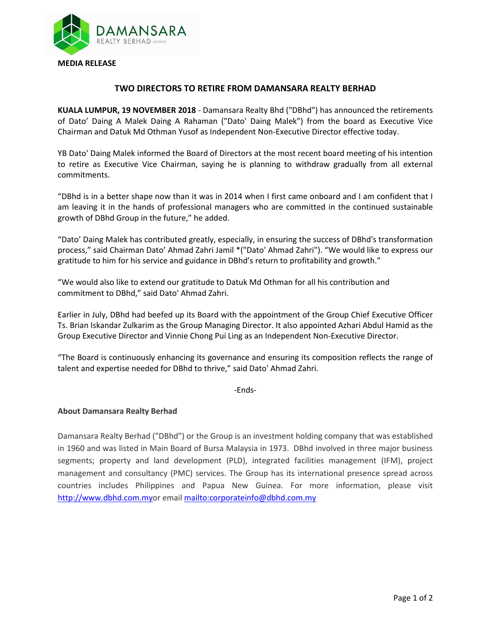

## **TWO DIRECTORS TO RETIRE FROM DAMANSARA REALTY BERHAD**

**KUALA LUMPUR, 19 NOVEMBER 2018** - Damansara Realty Bhd ("DBhd") has announced the retirements of Dato' Daing A Malek Daing A Rahaman ("Dato' Daing Malek") from the board as Executive Vice Chairman and Datuk Md Othman Yusof as Independent Non-Executive Director effective today.

YB Dato' Daing Malek informed the Board of Directors at the most recent board meeting of his intention to retire as Executive Vice Chairman, saying he is planning to withdraw gradually from all external commitments.

"DBhd is in a better shape now than it was in 2014 when I first came onboard and I am confident that I am leaving it in the hands of professional managers who are committed in the continued sustainable growth of DBhd Group in the future," he added.

"Dato' Daing Malek has contributed greatly, especially, in ensuring the success of DBhd's transformation process," said Chairman Dato' Ahmad Zahri Jamil \*("Dato' Ahmad Zahri"). "We would like to express our gratitude to him for his service and guidance in DBhd's return to profitability and growth."

"We would also like to extend our gratitude to Datuk Md Othman for all his contribution and commitment to DBhd," said Dato' Ahmad Zahri.

Earlier in July, DBhd had beefed up its Board with the appointment of the Group Chief Executive Officer Ts. Brian Iskandar Zulkarim as the Group Managing Director. It also appointed Azhari Abdul Hamid as the Group Executive Director and Vinnie Chong Pui Ling as an Independent Non-Executive Director.

"The Board is continuously enhancing its governance and ensuring its composition reflects the range of talent and expertise needed for DBhd to thrive," said Dato' Ahmad Zahri.

-Ends-

## **About Damansara Realty Berhad**

Damansara Realty Berhad ("DBhd") or the Group is an investment holding company that was established in 1960 and was listed in Main Board of Bursa Malaysia in 1973. DBhd involved in three major business segments; property and land development (PLD), integrated facilities management (IFM), project management and consultancy (PMC) services. The Group has its international presence spread across countries includes Philippines and Papua New Guinea. For more information, please visit [http://www.dbhd.com.myo](http://www.dbhd.com.my/)r emai[l mailto:corporateinfo@dbhd.com.my](mailto:corporateinfo@dbhd.com.my)